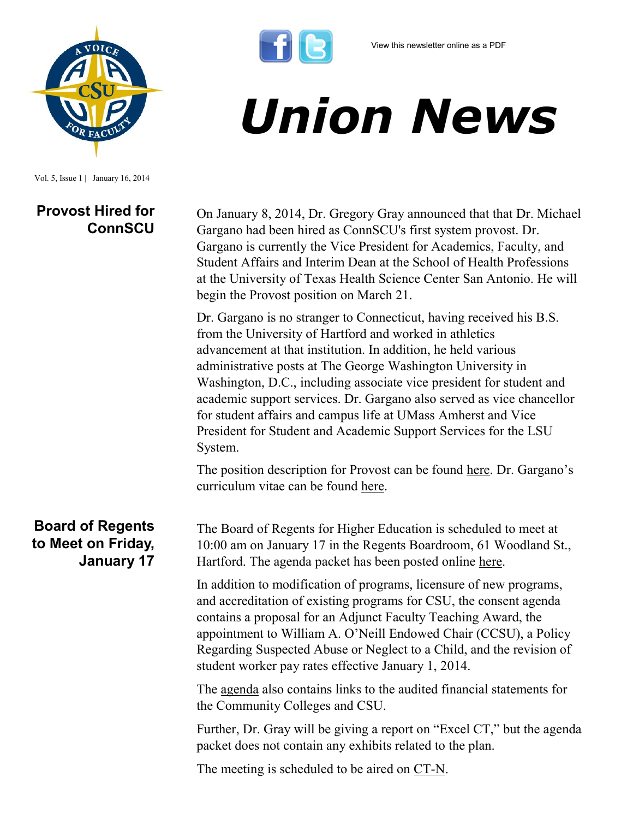



Vol. 5, Issue 1 | January 16, 2014

## **Provost Hired for ConnSCU**



On January 8, 2014, Dr. Gregory Gray announced that that Dr. Michael Gargano had been hired as ConnSCU's first system provost. Dr. Gargano is currently the Vice President for Academics, Faculty, and Student Affairs and Interim Dean at the School of Health Professions at the University of Texas Health Science Center San Antonio. He will begin the Provost position on March 21.

Dr. Gargano is no stranger to Connecticut, having received his B.S. from the University of Hartford and worked in athletics advancement at that institution. In addition, he held various administrative posts at The George Washington University in Washington, D.C., including associate vice president for student and academic support services. Dr. Gargano also served as vice chancellor for student affairs and campus life at UMass Amherst and Vice President for Student and Academic Support Services for the LSU System.

The position description for Provost can be found [here](http://www.ct.edu/files/pdfs/job-Provost.pdf). Dr. Gargano's curriculum vitae can be found [here.](http://www.csuaaup.org/wp-content/uploads/2014/01/GarganoCV.pdf)

**Board of Regents to Meet on Friday, January 17**

The Board of Regents for Higher Education is scheduled to meet at 10:00 am on January 17 in the Regents Boardroom, 61 Woodland St., Hartford. The agenda packet has been posted online [here.](http://www.ct.edu/images/uploads/BOR-AgendaPacket-01-17-2014.pdf?21609)

In addition to modification of programs, licensure of new programs, and accreditation of existing programs for CSU, the consent agenda contains a proposal for an Adjunct Faculty Teaching Award, the appointment to William A. O'Neill Endowed Chair (CCSU), a Policy Regarding Suspected Abuse or Neglect to a Child, and the revision of student worker pay rates effective January 1, 2014.

The [agenda](http://www.ct.edu/images/uploads/BOR-AgendaPacket-01-17-2014.pdf?21609) also contains links to the audited financial statements for the Community Colleges and CSU.

Further, Dr. Gray will be giving a report on "Excel CT," but the agenda packet does not contain any exhibits related to the plan.

The meeting is scheduled to be aired on [CT-N.](http://www.ct-n.com)